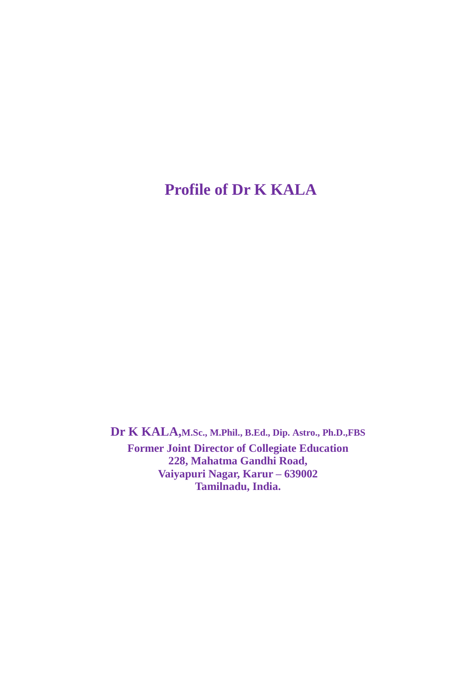# **Profile of Dr K KALA**

**Dr K KALA,M.Sc., M.Phil., B.Ed., Dip. Astro., Ph.D.,FBS Former Joint Director of Collegiate Education 228, Mahatma Gandhi Road, Vaiyapuri Nagar, Karur – 639002 Tamilnadu, India.**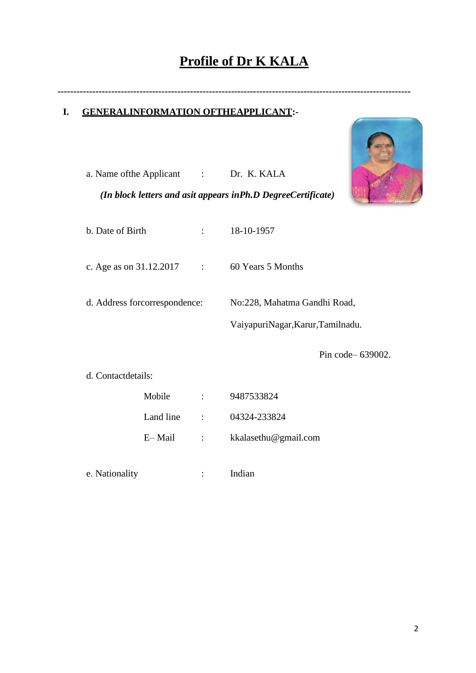# **Profile of Dr K KALA**

**----------------------------------------------------------------------------------------------------------------**

# **I. GENERALINFORMATION OFTHEAPPLICANT:-**

|                               |           |                          | a. Name of the Applicant : Dr. K. KALA                       |  |  |
|-------------------------------|-----------|--------------------------|--------------------------------------------------------------|--|--|
|                               |           |                          | (In block letters and asit appears inPh.D DegreeCertificate) |  |  |
| b. Date of Birth              |           | $\mathbb{R}^n$           | 18-10-1957                                                   |  |  |
| c. Age as on 31.12.2017       |           | $\sim 1000$ M $_\odot$ . | 60 Years 5 Months                                            |  |  |
| d. Address forcorrespondence: |           |                          | No:228, Mahatma Gandhi Road,                                 |  |  |
|                               |           |                          | VaiyapuriNagar, Karur, Tamilnadu.                            |  |  |
|                               |           |                          | Pin code - 639002.                                           |  |  |
| d. Contactdetails:            |           |                          |                                                              |  |  |
|                               | Mobile    | $\mathbf{L}$             | 9487533824                                                   |  |  |
|                               | Land line | $\ddot{\cdot}$           | 04324-233824                                                 |  |  |
|                               | E-Mail    | $\ddot{\cdot}$           | kkalasethu@gmail.com                                         |  |  |
| e. Nationality                |           | $\ddot{\cdot}$           | Indian                                                       |  |  |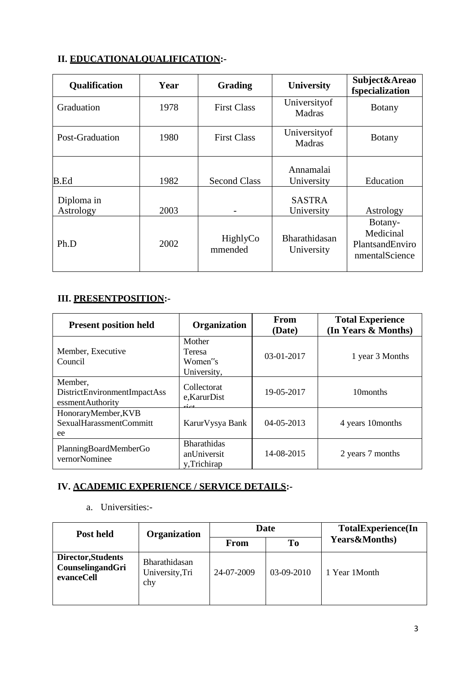# II. EDUCATIONALOUALIFICATION:-

| <b>Qualification</b>    | Year | <b>Grading</b>      | <b>University</b>              | Subject&Areao<br>fspecialization                          |
|-------------------------|------|---------------------|--------------------------------|-----------------------------------------------------------|
| Graduation              | 1978 | <b>First Class</b>  | University of<br><b>Madras</b> | <b>Botany</b>                                             |
| Post-Graduation         | 1980 | <b>First Class</b>  | University of<br><b>Madras</b> | <b>Botany</b>                                             |
| <b>B.Ed</b>             | 1982 | <b>Second Class</b> | Annamalai<br>University        | Education                                                 |
| Diploma in<br>Astrology | 2003 |                     | <b>SASTRA</b><br>University    | Astrology                                                 |
| Ph.D                    | 2002 | HighlyCo<br>mmended | Bharathidasan<br>University    | Botany-<br>Medicinal<br>PlantsandEnviro<br>nmentalScience |

# **III. PRESENTPOSITION:-**

| <b>Present position held</b>                                | <b>Organization</b>                                     | From<br>(Date) | <b>Total Experience</b><br>(In Years & Months) |
|-------------------------------------------------------------|---------------------------------------------------------|----------------|------------------------------------------------|
| Member, Executive<br>Council                                | Mother<br>Teresa<br>Women <sup>"</sup> s<br>University, | 03-01-2017     | 1 year 3 Months                                |
| Member,<br>DistrictEnvironmentImpactAss<br>essmentAuthority | Collectorat<br>e,KarurDist                              | 19-05-2017     | 10 <sub>months</sub>                           |
| HonoraryMember, KVB<br>SexualHarassmentCommitt<br>ee        | Karur Vysya Bank                                        | 04-05-2013     | 4 years 10 months                              |
| PlanningBoardMemberGo<br>vernorNominee                      | <b>Bharathidas</b><br>anUniversit<br>y, Trichirap       | 14-08-2015     | 2 years 7 months                               |

# IV. ACADEMIC EXPERIENCE / SERVICE DETAILS:-

# a. Universities:-

| Post held                                            | <b>Organization</b>                            |            | <b>Date</b> | <b>TotalExperience(In</b> |
|------------------------------------------------------|------------------------------------------------|------------|-------------|---------------------------|
|                                                      |                                                | From       | <b>To</b>   | <b>Years&amp;Months)</b>  |
| Director, Students<br>CounselingandGri<br>evanceCell | <b>Bharathidasan</b><br>University, Tri<br>chy | 24-07-2009 | 03-09-2010  | 1 Year 1 Month            |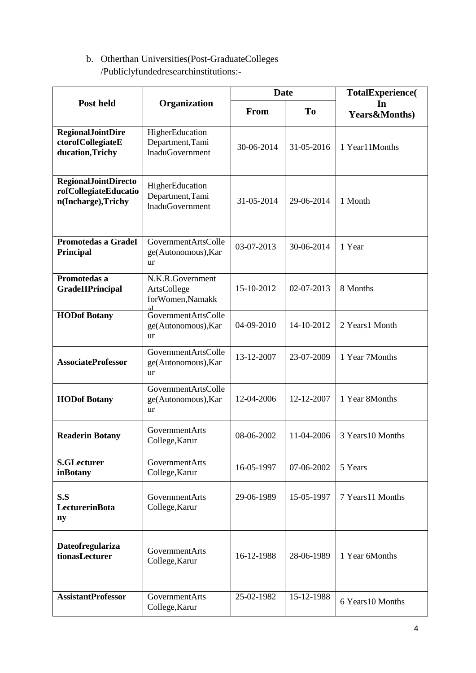# b. Otherthan Universities(Post-GraduateColleges /Publiclyfundedresearchinstitutions:-

|                                                                             |                                                               | <b>Date</b> |                | TotalExperience(               |
|-----------------------------------------------------------------------------|---------------------------------------------------------------|-------------|----------------|--------------------------------|
| Post held                                                                   | Organization                                                  | From        | T <sub>0</sub> | In<br><b>Years&amp;Months)</b> |
| <b>RegionalJointDire</b><br>ctorofCollegiateE<br>ducation, Trichy           | HigherEducation<br>Department, Tami<br><b>InaduGovernment</b> | 30-06-2014  | 31-05-2016     | 1 Year11Months                 |
| <b>RegionalJointDirecto</b><br>rofCollegiateEducatio<br>n(Incharge), Trichy | HigherEducation<br>Department, Tami<br><b>InaduGovernment</b> | 31-05-2014  | 29-06-2014     | 1 Month                        |
| Promotedas a GradeI<br>Principal                                            | GovernmentArtsColle<br>ge(Autonomous), Kar<br>ur              | 03-07-2013  | 30-06-2014     | 1 Year                         |
| Promotedas a<br>GradeIIPrincipal                                            | N.K.R.Government<br>ArtsCollege<br>forWomen,Namakk            | 15-10-2012  | 02-07-2013     | 8 Months                       |
| <b>HODof Botany</b>                                                         | <b>GovernmentArtsColle</b><br>ge(Autonomous), Kar<br>ur       | 04-09-2010  | 14-10-2012     | 2 Years1 Month                 |
| <b>AssociateProfessor</b>                                                   | GovernmentArtsColle<br>ge(Autonomous), Kar<br>ur              | 13-12-2007  | 23-07-2009     | 1 Year 7Months                 |
| <b>HODof Botany</b>                                                         | GovernmentArtsColle<br>ge(Autonomous), Kar<br><b>ur</b>       | 12-04-2006  | 12-12-2007     | 1 Year 8Months                 |
| <b>Readerin Botany</b>                                                      | GovernmentArts<br>College, Karur                              | 08-06-2002  | 11-04-2006     | 3 Years 10 Months              |
| <b>S.GLecturer</b><br>inBotany                                              | GovernmentArts<br>College, Karur                              | 16-05-1997  | 07-06-2002     | 5 Years                        |
| S.S<br>LecturerinBota<br>ny                                                 | GovernmentArts<br>College, Karur                              | 29-06-1989  | 15-05-1997     | 7 Years11 Months               |
| <b>Dateofregulariza</b><br>tionasLecturer                                   | <b>GovernmentArts</b><br>College, Karur                       | 16-12-1988  | 28-06-1989     | 1 Year 6Months                 |
| <b>AssistantProfessor</b>                                                   | GovernmentArts<br>College, Karur                              | 25-02-1982  | 15-12-1988     | 6 Years 10 Months              |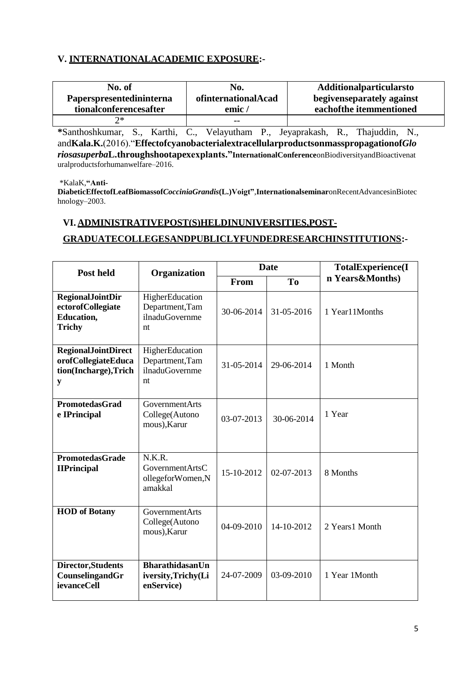#### V. INTERNATIONALACADEMIC EXPOSURE:-

| No. of                   | No.                 | <b>Additionalparticularsto</b> |
|--------------------------|---------------------|--------------------------------|
| Paperspresentedininterna | ofinternationalAcad | begiven separately against     |
| tionalconferencesafter   | emic/               | eachofthe itemmentioned        |
| 7*                       | $- -$               |                                |

\*Santhoshkumar, S., Karthi, C., Velayutham P., Jeyaprakash, R., Thajuddin, N., andKala.K.(2016). "EffectofcyanobacterialextracellularproductsonmasspropagationofGlo riosasuperbaL.throughshootapexexplants."InternationalConferenceonBiodiversityandBioactivenat uralproductsforhumanwelfare-2016.

\*KalaK,"Anti-

DiabeticEffectofLeafBiomassofCocciniaGrandis(L.)Voigt",InternationalseminaronRecentAdvancesinBiotec  $hnology-2003.$ 

#### VI. ADMINISTRATIVEPOST(S)HELDINUNIVERSITIES,POST-

#### GRADUATECOLLEGESANDPUBLICLYFUNDEDRESEARCHINSTITUTIONS:-

| <b>Post held</b>                                                                   | Organization                                                      |            | <b>Date</b>    | <b>TotalExperience(I</b> |
|------------------------------------------------------------------------------------|-------------------------------------------------------------------|------------|----------------|--------------------------|
|                                                                                    |                                                                   | From       | T <sub>o</sub> | n Years&Months)          |
| <b>RegionalJointDir</b><br>ectorofCollegiate<br><b>Education,</b><br><b>Trichy</b> | HigherEducation<br>Department, Tam<br>ilnaduGovernme<br>nt        | 30-06-2014 | 31-05-2016     | 1 Year11Months           |
| <b>RegionalJointDirect</b><br>orofCollegiateEduca<br>tion(Incharge), Trich<br>y    | HigherEducation<br>Department, Tam<br><i>ilnaduGovernme</i><br>nt | 31-05-2014 | 29-06-2014     | 1 Month                  |
| <b>PromotedasGrad</b><br>e IPrincipal                                              | GovernmentArts<br>College(Autono<br>mous), Karur                  | 03-07-2013 | 30-06-2014     | 1 Year                   |
| <b>PromotedasGrade</b><br><b>IIPrincipal</b>                                       | N.K.R.<br><b>GovernmentArtsC</b><br>ollegeforWomen,N<br>amakkal   | 15-10-2012 | $02-07-2013$   | 8 Months                 |
| <b>HOD</b> of Botany                                                               | <b>GovernmentArts</b><br>College(Autono<br>mous), Karur           | 04-09-2010 | 14-10-2012     | 2 Years1 Month           |
| Director, Students<br>CounselingandGr<br>ievanceCell                               | <b>BharathidasanUn</b><br>iversity, Trichy(Li<br>enService)       | 24-07-2009 | 03-09-2010     | 1 Year 1Month            |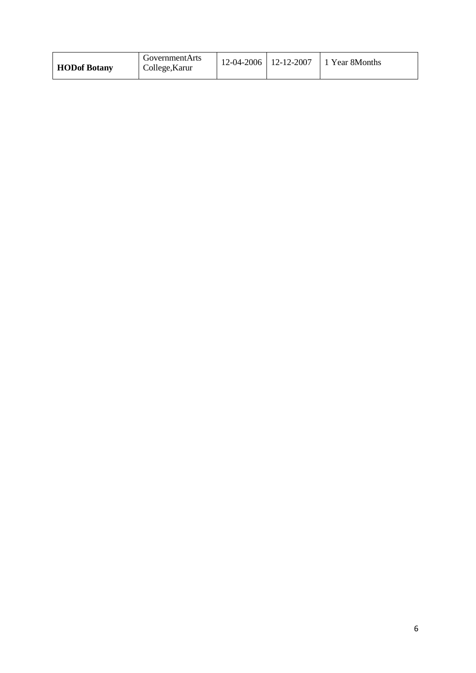| <b>GovernmentArts</b><br><b>HODof Botany</b><br>College, Karur |  |  | $12-04-2006$   12-12-2007   1 Year 8Months |
|----------------------------------------------------------------|--|--|--------------------------------------------|
|----------------------------------------------------------------|--|--|--------------------------------------------|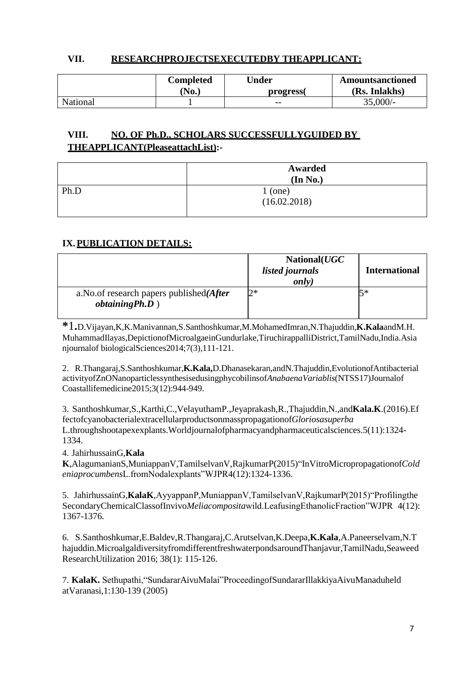#### **VII. RESEARCHPROJECTSEXECUTEDBY THEAPPLICANT:**

|          | Completed | <b>Jnder</b> | <b>Amountsanctioned</b> |
|----------|-----------|--------------|-------------------------|
|          | 'No.)     | progress(    | (Rs. Inlakhs)           |
| National |           | $- -$        | $35,000/-$              |

# **VIII. NO. OF Ph.D., SCHOLARS SUCCESSFULLYGUIDED BY THEAPPLICANT(PleaseattachList):-**

|      | Awarded<br>(In No.)         |
|------|-----------------------------|
| Ph.D |                             |
|      | $1 (one)$<br>$(16.02.2018)$ |

#### **IX.PUBLICATION DETAILS:**

|                                                                   | National(UGC<br><i>listed journals</i><br>only) | <b>International</b> |
|-------------------------------------------------------------------|-------------------------------------------------|----------------------|
| a. No. of research papers published $After$<br>$obtaining Ph.D$ ) | 2*                                              | 5∗                   |

**\***1**.**D.Vijayan,K,K.Manivannan,S.Santhoshkumar,M.MohamedImran,N.Thajuddin,**K.Kala**andM.H. MuhammadIlayas,DepictionofMicroalgaeinGundurlake,TiruchirappalliDistrict,TamilNadu,India.Asia njournalof biologicalSciences2014;7(3),111-121.

2. R.Thangaraj,S.Santhoshkumar,**K.Kala,**D.Dhanasekaran,andN.Thajuddin,EvolutionofAntibacterial activityofZnONanoparticlessynthesisedusingphycobilinsof*AnabaenaVariablis*(NTSS17)Journalof Coastallifemedicine2015;3(12):944-949.

3. Santhoshkumar,S.,Karthi,C.,VelayuthamP.,Jeyaprakash,R.,Thajuddin,N.,and**Kala.K**.(2016).Ef fectofcyanobacterialextracellularproductsonmasspropagationof*Gloriosasuperba* L.throughshootapexexplants.Worldjournalofpharmacyandpharmaceuticalsciences.5(11):1324- 1334.

4. JahirhussainG,**Kala** 

**K**,AlagumanianS,MuniappanV,TamilselvanV,RajkumarP(2015)"InVitroMicropropagationof*Cold eniaprocumbens*L.fromNodalexplants"WJPR4(12):1324-1336.

5. JahirhussainG,**KalaK**,AyyappanP,MuniappanV,TamilselvanV,RajkumarP(2015)"Profilingthe SecondaryChemicalClassofInvivo*Meliacomposita*wild.LeafusingEthanolicFraction"WJPR 4(12): 1367-1376.

6. S.Santhoshkumar,E.Baldev,R.Thangaraj,C.Arutselvan,K.Deepa,**K.Kala**,A.Paneerselvam,N.T hajuddin.MicroalgaldiversityfromdifferentfreshwaterpondsaroundThanjavur,TamilNadu,Seaweed ResearchUtilization 2016; 38(1): 115-126.

7. **KalaK.** Sethupathi,"SundararAivuMalai"ProceedingofSundararIllakkiyaAivuManaduheld atVaranasi,1:130-139 (2005)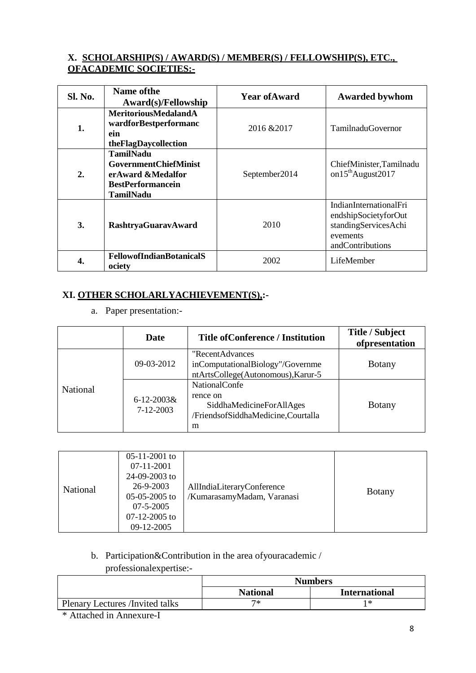#### X. SCHOLARSHIP(S) / AWARD(S) / MEMBER(S) / FELLOWSHIP(S), ETC., **OFACADEMIC SOCIETIES:-**

| Sl. No.          | Name of the<br>Award(s)/Fellowship                                                                                    | <b>Year of Award</b> | <b>Awarded bywhom</b>                                                                                  |
|------------------|-----------------------------------------------------------------------------------------------------------------------|----------------------|--------------------------------------------------------------------------------------------------------|
| 1.               | <b>MeritoriousMedalandA</b><br>wardforBestperformanc<br>ein<br>theFlagDaycollection                                   | 2016 & 2017          | <b>TamilnaduGovernor</b>                                                                               |
| $\overline{2}$ . | <b>TamilNadu</b><br><b>GovernmentChiefMinist</b><br>erAward &Medalfor<br><b>BestPerformancein</b><br><b>TamilNadu</b> | September2014        | ChiefMinister, Tamilnadu<br>on $15^{th}$ August $2017$                                                 |
| 3.               | <b>RashtryaGuaravAward</b>                                                                                            | 2010                 | IndianInternationalFri<br>endshipSocietyforOut<br>standingServicesAchi<br>evements<br>andContributions |
| 4.               | <b>FellowofIndianBotanicalS</b><br>ociety                                                                             | 2002                 | LifeMember                                                                                             |

# XI. OTHER SCHOLARLYACHIEVEMENT(S).:-

a. Paper presentation:-

|          | Date                           | <b>Title of Conference / Institution</b>                                                                | Title / Subject<br>ofpresentation |
|----------|--------------------------------|---------------------------------------------------------------------------------------------------------|-----------------------------------|
|          | $09-03-2012$                   | "RecentAdvances<br>inComputationalBiology"/Governme<br>ntArtsCollege(Autonomous), Karur-5               | <b>Botany</b>                     |
| National | $6 - 12 - 2003$ &<br>7-12-2003 | <b>NationalConfe</b><br>rence on<br>SiddhaMedicineForAllAges<br>/FriendsofSiddhaMedicine,Courtalla<br>m | <b>Botany</b>                     |

| National | $05-11-2001$ to<br>07-11-2001<br>$24-09-2003$ to<br>26-9-2003<br>$05-05-2005$ to<br>$07 - 5 - 2005$<br>$07-12-2005$ to<br>09-12-2005 | AllIndiaLiteraryConference<br>/KumarasamyMadam, Varanasi | <b>Botany</b> |
|----------|--------------------------------------------------------------------------------------------------------------------------------------|----------------------------------------------------------|---------------|
|----------|--------------------------------------------------------------------------------------------------------------------------------------|----------------------------------------------------------|---------------|

#### b. Participation&Contribution in the area of your academic /

professionalexpertise:-

|                                 | <b>Numbers</b>  |                      |  |
|---------------------------------|-----------------|----------------------|--|
|                                 | <b>National</b> | <b>International</b> |  |
| Plenary Lectures /Invited talks | ワ*              | l *                  |  |

<sup>\*</sup> Attached in Annexure-I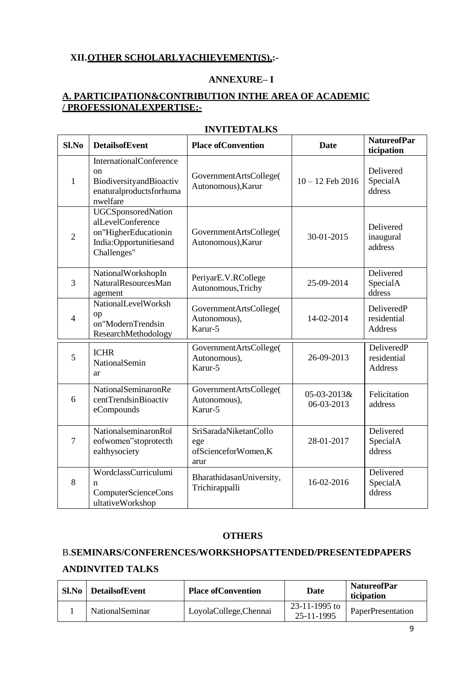#### XII. OTHER SCHOLARLYACHIEVEMENT(S),:-

#### **ANNEXURE-I**

#### **A. PARTICIPATION&CONTRIBUTION INTHE AREA OF ACADEMIC** /PROFESSIONALEXPERTISE:-

| Sl.No          | <b>DetailsofEvent</b>                                                                                             | <b>Place of Convention</b>                                  | <b>Date</b>               | <b>NatureofPar</b><br>ticipation            |
|----------------|-------------------------------------------------------------------------------------------------------------------|-------------------------------------------------------------|---------------------------|---------------------------------------------|
| $\mathbf{1}$   | <b>InternationalConference</b><br><sub>on</sub><br>BiodiversityandBioactiv<br>enaturalproductsforhuma<br>nwelfare | GovernmentArtsCollege(<br>Autonomous), Karur                | $10 - 12$ Feb 2016        | Delivered<br>SpecialA<br>ddress             |
| $\overline{2}$ | <b>UGCSponsoredNation</b><br>alLevelConference<br>on"HigherEducationin<br>India:Opportunitiesand<br>Challenges"   | GovernmentArtsCollege(<br>Autonomous), Karur                | 30-01-2015                | Delivered<br>inaugural<br>address           |
| 3              | NationalWorkshopIn<br>NaturalResourcesMan<br>agement                                                              | PeriyarE.V.RCollege<br>Autonomous, Trichy                   | 25-09-2014                | Delivered<br>SpecialA<br>ddress             |
| $\overline{4}$ | NationalLevelWorksh<br>op<br>on"ModernTrendsin<br>ResearchMethodology                                             | GovernmentArtsCollege(<br>Autonomous),<br>Karur-5           | 14-02-2014                | DeliveredP<br>residential<br>Address        |
| 5              | <b>ICHR</b><br>NationalSemin<br>ar                                                                                | GovernmentArtsCollege(<br>Autonomous),<br>Karur-5           | 26-09-2013                | DeliveredP<br>residential<br><b>Address</b> |
| 6              | NationalSeminaronRe<br>centTrendsinBioactiv<br>eCompounds                                                         | GovernmentArtsCollege(<br>Autonomous),<br>Karur-5           | 05-03-2013&<br>06-03-2013 | Felicitation<br>address                     |
| $\overline{7}$ | NationalseminaronRol<br>eofwomen"stoprotecth<br>ealthysociety                                                     | SriSaradaNiketanCollo<br>ege<br>ofScienceforWomen,K<br>arur | 28-01-2017                | Delivered<br>SpecialA<br>ddress             |
| 8              | WordclassCurriculumi<br>n<br>ComputerScienceCons<br>ultativeWorkshop                                              | BharathidasanUniversity,<br>Trichirappalli                  | 16-02-2016                | Delivered<br>SpecialA<br>ddress             |

#### **INVITEDTALKS**

#### **OTHERS**

# B.SEMINARS/CONFERENCES/WORKSHOPSATTENDED/PRESENTEDPAPERS **ANDINVITED TALKS**

| Sl.No | <b>DetailsofEvent</b>   | <b>Place of Convention</b> | Date                        | <b>NatureofPar</b><br>ticipation |
|-------|-------------------------|----------------------------|-----------------------------|----------------------------------|
|       | <b>National</b> Seminar | LoyolaCollege, Chennai     | 23-11-1995 to<br>25-11-1995 | <b>PaperPresentation</b>         |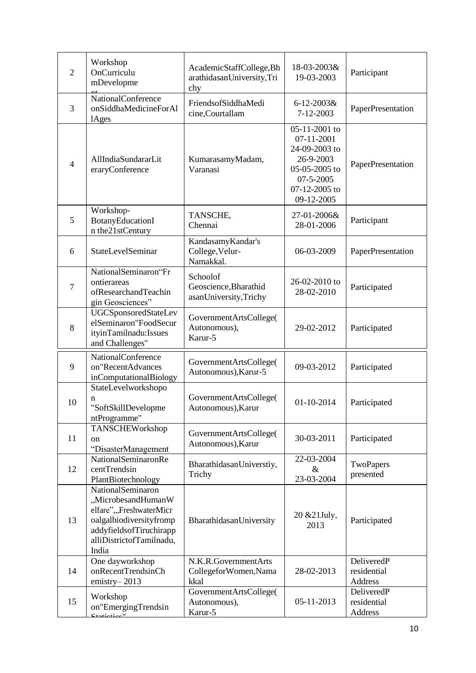| $\overline{2}$ | Workshop<br>OnCurriculu<br>mDevelopme                                                                                                                          | AcademicStaffCollege, Bh<br>arathidasanUniversity,Tri<br>chy | 18-03-2003&<br>19-03-2003                                                                                              | Participant                          |
|----------------|----------------------------------------------------------------------------------------------------------------------------------------------------------------|--------------------------------------------------------------|------------------------------------------------------------------------------------------------------------------------|--------------------------------------|
| 3              | <b>NationalConference</b><br>onSiddhaMedicineForAl<br><b>lAges</b>                                                                                             | FriendsofSiddhaMedi<br>cine,Courtallam                       | $6 - 12 - 2003$ &<br>7-12-2003                                                                                         | PaperPresentation                    |
| $\overline{4}$ | AllIndiaSundararLit<br>eraryConference                                                                                                                         | KumarasamyMadam,<br>Varanasi                                 | 05-11-2001 to<br>07-11-2001<br>24-09-2003 to<br>26-9-2003<br>05-05-2005 to<br>07-5-2005<br>07-12-2005 to<br>09-12-2005 | PaperPresentation                    |
| 5              | Workshop-<br>BotanyEducationI<br>n the21stCentury                                                                                                              | TANSCHE,<br>Chennai                                          | 27-01-2006&<br>28-01-2006                                                                                              | Participant                          |
| 6              | StateLevelSeminar                                                                                                                                              | KandasamyKandar's<br>College, Velur-<br>Namakkal.            | 06-03-2009                                                                                                             | PaperPresentation                    |
| $\overline{7}$ | NationalSeminaron"Fr<br>ontierareas<br>ofResearchandTeachin<br>gin Geosciences"                                                                                | Schoolof<br>Geoscience, Bharathid<br>asanUniversity,Trichy   | 26-02-2010 to<br>28-02-2010                                                                                            | Participated                         |
| 8              | <b>UGCSponsoredStateLev</b><br>elSeminaron"FoodSecur<br>ityinTamilnadu:Issues<br>and Challenges"                                                               | GovernmentArtsCollege(<br>Autonomous),<br>Karur-5            | 29-02-2012                                                                                                             | Participated                         |
| 9              | NationalConference<br>on"RecentAdvances<br>inComputationalBiology                                                                                              | GovernmentArtsCollege(<br>Autonomous), Karur-5               | 09-03-2012                                                                                                             | Participated                         |
| 10             | StateLevelworkshopo<br>n<br>"SoftSkillDevelopme<br>ntProgramme"                                                                                                | GovernmentArtsCollege(<br>Autonomous), Karur                 | 01-10-2014                                                                                                             | Participated                         |
| 11             | TANSCHEWorkshop<br>on<br>"DisasterManagement                                                                                                                   | GovernmentArtsCollege(<br>Autonomous), Karur                 | 30-03-2011                                                                                                             | Participated                         |
| 12             | NationalSeminaronRe<br>centTrendsin<br>PlantBiotechnology                                                                                                      | BharathidasanUniverstiy,<br>Trichy                           | 22-03-2004<br>$\&$<br>23-03-2004                                                                                       | TwoPapers<br>presented               |
| 13             | NationalSeminaron<br>"MicrobesandHumanW<br>elfare",,,FreshwaterMicr<br>oalgalbiodiversityfromp<br>addyfieldsofTiruchirapp<br>alliDistrictofTamilnadu,<br>India | BharathidasanUniversity                                      | 20 & 21 July,<br>2013                                                                                                  | Participated                         |
| 14             | One dayworkshop<br>onRecentTrendsinCh<br>emistry-2013                                                                                                          | N.K.R.GovernmentArts<br>CollegeforWomen, Nama<br>kkal        | 28-02-2013                                                                                                             | DeliveredP<br>residential<br>Address |
| 15             | Workshop<br>on"EmergingTrendsin<br>$\mathbf{C}$ tatiqtiqa $\mathbf{u}$                                                                                         | GovernmentArtsCollege(<br>Autonomous),<br>Karur-5            | 05-11-2013                                                                                                             | DeliveredP<br>residential<br>Address |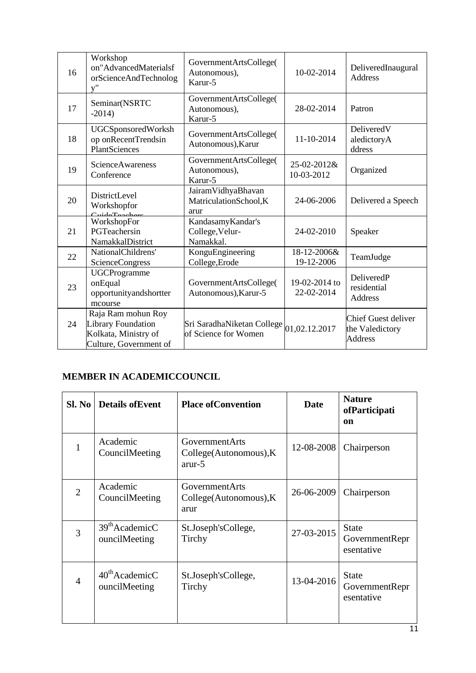| 16 | Workshop<br>on"AdvancedMaterialsf<br>orScienceAndTechnolog<br>V''                                 | GovernmentArtsCollege(<br>Autonomous),<br>Karur-5                                                                                  | 10-02-2014                  | DeliveredInaugural<br><b>Address</b>                            |
|----|---------------------------------------------------------------------------------------------------|------------------------------------------------------------------------------------------------------------------------------------|-----------------------------|-----------------------------------------------------------------|
| 17 | Seminar(NSRTC<br>$-2014$                                                                          | GovernmentArtsCollege(<br>Autonomous),<br>Karur-5                                                                                  | 28-02-2014                  | Patron                                                          |
| 18 | UGCSponsoredWorksh<br>op onRecentTrendsin<br>PlantSciences                                        | GovernmentArtsCollege(<br>Autonomous), Karur                                                                                       | 11-10-2014                  | DeliveredV<br>aledictoryA<br>ddress                             |
| 19 | <b>ScienceAwareness</b><br>Conference                                                             | GovernmentArtsCollege(<br>Autonomous),<br>Karur-5                                                                                  | 25-02-2012&<br>10-03-2012   | Organized                                                       |
| 20 | DistrictLevel<br>Workshopfor<br>$C_{\text{tida}}T_{\text{eacha}}$                                 | JairamVidhyaBhavan<br>MatriculationSchool,K<br>arur                                                                                | 24-06-2006                  | Delivered a Speech                                              |
| 21 | WorkshopFor<br>PGTeachersin<br>NamakkalDistrict                                                   | KandasamyKandar's<br>College, Velur-<br>Namakkal.                                                                                  | 24-02-2010                  | Speaker                                                         |
| 22 | NationalChildrens'<br><b>ScienceCongress</b>                                                      | KonguEngineering<br>College, Erode                                                                                                 | 18-12-2006&<br>19-12-2006   | TeamJudge                                                       |
| 23 | <b>UGCProgramme</b><br>onEqual<br>opportunityandshortter<br>mcourse                               | GovernmentArtsCollege(<br>Autonomous), Karur-5                                                                                     | 19-02-2014 to<br>22-02-2014 | DeliveredP<br>residential<br>Address                            |
| 24 | Raja Ram mohun Roy<br><b>Library Foundation</b><br>Kolkata, Ministry of<br>Culture, Government of | $\mathrm{\left\vert S\right\vert}$ i SaradhaNiketan College $\mathrm{\left\vert 01,02.12.2017}\right\vert$<br>of Science for Women |                             | <b>Chief Guest deliver</b><br>the Valedictory<br><b>Address</b> |

#### **BER IN ACADEMICO MEMBER IN ACADEMICCOUNCIL**

| SI. No         | <b>Details of Event</b>                     | <b>Place of Convention</b>                              | <b>Date</b> | <b>Nature</b><br>ofParticipati<br>on         |
|----------------|---------------------------------------------|---------------------------------------------------------|-------------|----------------------------------------------|
|                | Academic<br>CouncilMeeting                  | GovernmentArts<br>College(Autonomous), K<br>arur-5      | 12-08-2008  | Chairperson                                  |
| $\overline{2}$ | Academic<br>CouncilMeeting                  | <b>GovernmentArts</b><br>College(Autonomous), K<br>arur | 26-06-2009  | Chairperson                                  |
| 3              | $39th$ AcademicC<br>ouncilMeeting           | St.Joseph'sCollege,<br>Tirchy                           | 27-03-2015  | <b>State</b><br>GovernmentRepr<br>esentative |
| $\overline{4}$ | $40^{\text{th}}$ AcademicC<br>ouncilMeeting | St.Joseph'sCollege,<br>Tirchy                           | 13-04-2016  | <b>State</b><br>GovernmentRepr<br>esentative |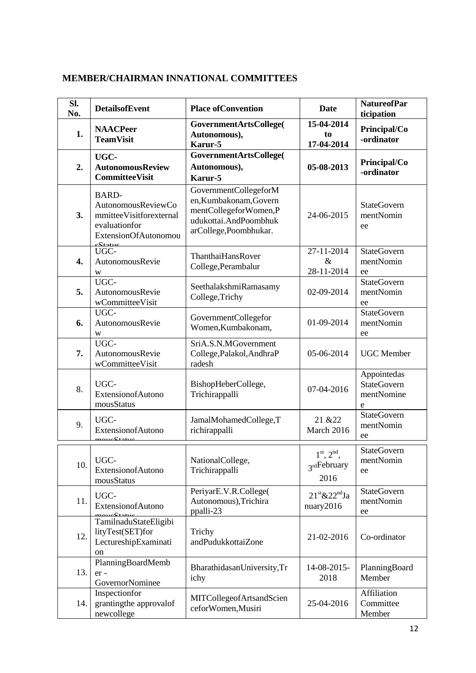| SI.<br>No. | <b>DetailsofEvent</b>                                                                                              | <b>Place of Convention</b>                                                                                                 | Date                                                   | <b>NatureofPar</b><br>ticipation                     |
|------------|--------------------------------------------------------------------------------------------------------------------|----------------------------------------------------------------------------------------------------------------------------|--------------------------------------------------------|------------------------------------------------------|
| 1.         | <b>NAACPeer</b><br><b>TeamVisit</b>                                                                                | GovernmentArtsCollege(<br>Autonomous),<br>Karur-5                                                                          | 15-04-2014<br>to<br>17-04-2014                         | Principal/Co<br>-ordinator                           |
| 2.         | UGC-<br><b>AutonomousReview</b><br><b>CommitteeVisit</b>                                                           | GovernmentArtsCollege(<br>Autonomous),<br>Karur-5                                                                          | 05-08-2013                                             | Principal/Co<br>-ordinator                           |
| 3.         | <b>BARD-</b><br>AutonomousReviewCo<br>mmitteeVisitforexternal<br>evaluationfor<br>ExtensionOfAutonomou<br>a Statuc | GovernmentCollegeforM<br>en, Kumbakonam, Govern<br>mentCollegeforWomen,P<br>udukottai.AndPoombhuk<br>arCollege,Poombhukar. | 24-06-2015                                             | <b>StateGovern</b><br>mentNomin<br>ee                |
| 4.         | UGC-<br>AutonomousRevie<br>W                                                                                       | ThanthaiHansRover<br>College, Perambalur                                                                                   | 27-11-2014<br>$\&$<br>28-11-2014                       | <b>StateGovern</b><br>mentNomin<br>ee                |
| 5.         | UGC-<br>AutonomousRevie<br>wCommitteeVisit                                                                         | SeethalakshmiRamasamy<br>College, Trichy                                                                                   | 02-09-2014                                             | <b>StateGovern</b><br>mentNomin<br>ee                |
| 6.         | UGC-<br>AutonomousRevie<br>W                                                                                       | GovernmentCollegefor<br>Women, Kumbakonam,                                                                                 | 01-09-2014                                             | <b>StateGovern</b><br>mentNomin<br>ee                |
| 7.         | UGC-<br>AutonomousRevie<br>wCommitteeVisit                                                                         | SriA.S.N.MGovernment<br>College, Palakol, AndhraP<br>radesh                                                                | 05-06-2014                                             | <b>UGC</b> Member                                    |
| 8.         | UGC-<br>ExtensionofAutono<br>mousStatus                                                                            | BishopHeberCollege,<br>Trichirappalli                                                                                      | 07-04-2016                                             | Appointedas<br><b>StateGovern</b><br>mentNomine<br>e |
| 9.         | UGC-<br>ExtensionofAutono<br>$\mathbf{r} \circ \mathbf{C}$ totuc                                                   | JamalMohamedCollege,T<br>richirappalli                                                                                     | 21 & 22<br>March 2016                                  | <b>StateGovern</b><br>mentNomin<br>ee                |
| 10.        | UGC-<br>ExtensionofAutono<br>mousStatus                                                                            | NationalCollege,<br>Trichirappalli                                                                                         | $1^{\text{st}}, 2^{\text{nd}},$<br>3rdFebruary<br>2016 | <b>StateGovern</b><br>mentNomin<br>ee                |
| 11.        | UGC-<br>ExtensionofAutono                                                                                          | PeriyarE.V.R.College(<br>Autonomous), Trichira<br>ppalli-23                                                                | $21^{\text{st}}$ &22 <sup>nd</sup> Ja<br>nuary2016     | <b>StateGovern</b><br>mentNomin<br>ee                |
| 12.        | TamilnaduStateEligibi<br>lityTest(SET)for<br>LectureshipExaminati<br>on                                            | Trichy<br>andPudukkottaiZone                                                                                               | 21-02-2016                                             | Co-ordinator                                         |
| 13.        | PlanningBoardMemb<br>er-<br>GovernorNominee                                                                        | BharathidasanUniversity, Tr<br>ichy                                                                                        | 14-08-2015-<br>2018                                    | PlanningBoard<br>Member                              |
| 14.        | Inspectionfor<br>grantingthe approvalof<br>newcollege                                                              | MITCollegeofArtsandScien<br>ceforWomen, Musiri                                                                             | 25-04-2016                                             | Affiliation<br>Committee<br>Member                   |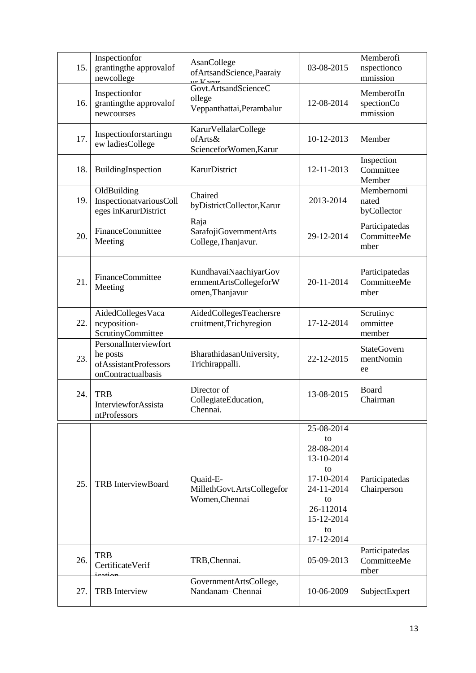| 15. | Inspectionfor<br>grantingthe approvalof<br>newcollege                              | AsanCollege<br>of Artsand Science, Paaraiy                         | 03-08-2015                                                                                                                          | Memberofi<br>nspectionco<br>mmission  |
|-----|------------------------------------------------------------------------------------|--------------------------------------------------------------------|-------------------------------------------------------------------------------------------------------------------------------------|---------------------------------------|
| 16. | Inspectionfor<br>grantingthe approvalof<br>newcourses                              | Govt.ArtsandScienceC<br>ollege<br>Veppanthattai, Perambalur        | 12-08-2014                                                                                                                          | MemberofIn<br>spectionCo<br>mmission  |
| 17. | Inspectionforstartingn<br>ew ladiesCollege                                         | KarurVellalarCollege<br>ofArts&<br>ScienceforWomen, Karur          | 10-12-2013                                                                                                                          | Member                                |
| 18. | BuildingInspection                                                                 | <b>KarurDistrict</b>                                               | 12-11-2013                                                                                                                          | Inspection<br>Committee<br>Member     |
| 19. | OldBuilding<br>InspectionatvariousColl<br>eges in Karur District                   | Chaired<br>byDistrictCollector,Karur                               | 2013-2014                                                                                                                           | Membernomi<br>nated<br>byCollector    |
| 20. | <b>FinanceCommittee</b><br>Meeting                                                 | Raja<br>SarafojiGovernmentArts<br>College, Thanjavur.              | 29-12-2014                                                                                                                          | Participatedas<br>CommitteeMe<br>mber |
| 21. | FinanceCommittee<br>Meeting                                                        | KundhavaiNaachiyarGov<br>ernmentArtsCollegeforW<br>omen, Thanjavur | 20-11-2014                                                                                                                          | Participatedas<br>CommitteeMe<br>mber |
| 22. | AidedCollegesVaca<br>ncyposition-<br>ScrutinyCommittee                             | AidedCollegesTeachersre<br>cruitment, Trichyregion                 | 17-12-2014                                                                                                                          | Scrutinyc<br>ommittee<br>member       |
| 23. | PersonalInterviewfort<br>he posts<br>of Assistant Professors<br>onContractualbasis | BharathidasanUniversity,<br>Trichirappalli.                        | 22-12-2015                                                                                                                          | <b>StateGovern</b><br>mentNomin<br>ee |
| 24. | <b>TRB</b><br>InterviewforAssista<br>ntProfessors                                  | Director of<br>CollegiateEducation,<br>Chennai.                    | 13-08-2015                                                                                                                          | Board<br>Chairman                     |
| 25. | <b>TRB</b> InterviewBoard                                                          | Quaid-E-<br>MillethGovt.ArtsCollegefor<br>Women, Chennai           | 25-08-2014<br>to<br>28-08-2014<br>13-10-2014<br>to<br>17-10-2014<br>24-11-2014<br>to<br>26-112014<br>15-12-2014<br>to<br>17-12-2014 | Participatedas<br>Chairperson         |
| 26. | <b>TRB</b><br>CertificateVerif<br>يومنهمن                                          | TRB, Chennai.                                                      | 05-09-2013                                                                                                                          | Participatedas<br>CommitteeMe<br>mber |
| 27. | <b>TRB</b> Interview                                                               | GovernmentArtsCollege,<br>Nandanam-Chennai                         | 10-06-2009                                                                                                                          | SubjectExpert                         |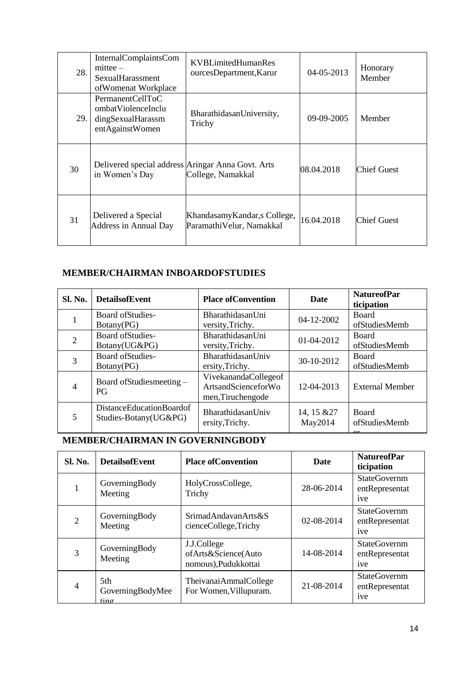| 28. | InternalComplaintsCom<br>$mittee -$<br><b>SexualHarassment</b><br>ofWomenat Workplace | KVBL imited Human Res<br>ourcesDepartment, Karur         | 04-05-2013   | Honorary<br>Member |
|-----|---------------------------------------------------------------------------------------|----------------------------------------------------------|--------------|--------------------|
| 29. | PermanentCellToC<br>ombatViolenceInclu<br>dingSexualHarassm<br>entAgainstWomen        | BharathidasanUniversity,<br>Trichy                       | $09-09-2005$ | Member             |
| 30  | Delivered special address Aringar Anna Govt. Arts<br>in Women's Day                   | College, Namakkal                                        | 08.04.2018   | <b>Chief Guest</b> |
| 31  | Delivered a Special<br><b>Address in Annual Day</b>                                   | KhandasamyKandar, s College,<br>ParamathiVelur, Namakkal | 16.04.2018   | <b>Chief Guest</b> |

# **MEMBER/CHAIRMAN INBOARDOFSTUDIES**

| <b>Sl. No.</b> | <b>DetailsofEvent</b>                                    | <b>Place of Convention</b>                                       | <b>Date</b>            | <b>NatureofPar</b><br>ticipation |
|----------------|----------------------------------------------------------|------------------------------------------------------------------|------------------------|----------------------------------|
|                | <b>Board of Studies-</b><br>Botany(PG)                   | BharathidasanUni<br>versity, Trichy.                             | 04-12-2002             | <b>Board</b><br>ofStudiesMemb    |
| $\overline{2}$ | Board of Studies-<br>Botany(UG&PG)                       | BharathidasanUni<br>versity, Trichy.                             | 01-04-2012             | <b>Board</b><br>ofStudiesMemb    |
| 3              | Board of Studies-<br>Botany(PG)                          | BharathidasanUniv<br>ersity, Trichy.                             | 30-10-2012             | <b>Board</b><br>ofStudiesMemb    |
| $\overline{4}$ | Board of Studies meeting -<br>P <sub>G</sub>             | VivekanandaCollegeof<br>ArtsandScienceforWo<br>men, Tiruchengode | 12-04-2013             | <b>External Member</b>           |
| 5              | <b>DistanceEducationBoardof</b><br>Studies-Botany(UG&PG) | BharathidasanUniv<br>ersity, Trichy.                             | 14, 15 & 27<br>May2014 | <b>Board</b><br>ofStudiesMemb    |

# **MEMBER/CHAIRMAN IN GOVERNINGBODY**

| <b>Sl. No.</b> | <b>DetailsofEvent</b>                      | <b>Place of Convention</b>                                | <b>Date</b>      | <b>NatureofPar</b><br>ticipation                         |
|----------------|--------------------------------------------|-----------------------------------------------------------|------------------|----------------------------------------------------------|
|                | GoverningBody<br>Meeting                   | HolyCrossCollege,<br>Trichy                               | 28-06-2014       | <b>StateGovernm</b><br>entRepresentat<br>ive             |
| $\overline{c}$ | GoverningBody<br>Meeting                   | SrimadAndavanArts&S<br>cienceCollege,Trichy               | $02 - 08 - 2014$ | <b>StateGovernm</b><br>entRepresentat<br>ive             |
| 3              | GoverningBody<br>Meeting                   | J.J.College<br>ofArts&Science(Auto<br>nomous),Pudukkottai | 14-08-2014       | <b>StateGovernm</b><br>entRepresentat<br>ive             |
| 4              | 5th<br>GoverningBodyMee<br>$\lim_{\alpha}$ | TheivanaiAmmalCollege<br>For Women, Villupuram.           | 21-08-2014       | <b>StateGovernm</b><br>entRepresentat<br><sub>1</sub> ve |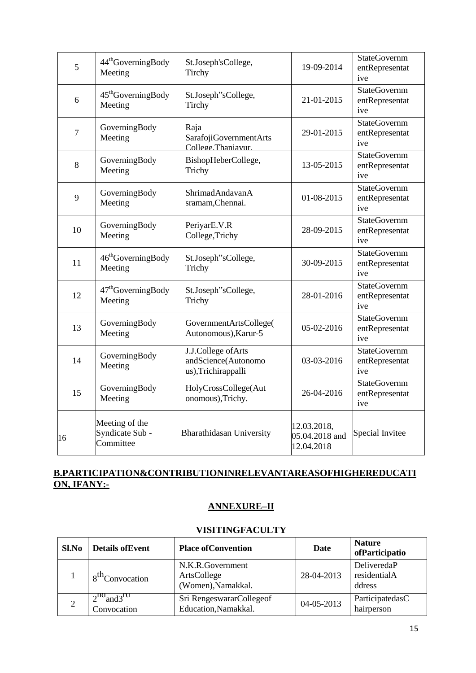| 5      | 44 <sup>th</sup> GoverningBody<br>Meeting      | St.Joseph'sCollege,<br>Tirchy                                    | 19-09-2014                                  | StateGovernm<br>entRepresentat<br>ive        |
|--------|------------------------------------------------|------------------------------------------------------------------|---------------------------------------------|----------------------------------------------|
| 6      | 45 <sup>th</sup> GoverningBody<br>Meeting      | St.Joseph"sCollege,<br>Tirchy                                    | 21-01-2015                                  | <b>StateGovernm</b><br>entRepresentat<br>ive |
| $\tau$ | GoverningBody<br>Meeting                       | Raja<br>SarafojiGovernmentArts<br>College Thaniavur              | 29-01-2015                                  | <b>StateGovernm</b><br>entRepresentat<br>ive |
| 8      | GoverningBody<br>Meeting                       | BishopHeberCollege,<br>Trichy                                    | 13-05-2015                                  | <b>StateGovernm</b><br>entRepresentat<br>ive |
| 9      | GoverningBody<br>Meeting                       | ShrimadAndavanA<br>sramam, Chennai.                              | 01-08-2015                                  | <b>StateGovernm</b><br>entRepresentat<br>ive |
| 10     | GoverningBody<br>Meeting                       | PeriyarE.V.R<br>College, Trichy                                  | 28-09-2015                                  | <b>StateGovernm</b><br>entRepresentat<br>ive |
| 11     | 46 <sup>th</sup> GoverningBody<br>Meeting      | St.Joseph"sCollege,<br>Trichy                                    | 30-09-2015                                  | <b>StateGovernm</b><br>entRepresentat<br>ive |
| 12     | 47 <sup>th</sup> GoverningBody<br>Meeting      | St.Joseph"sCollege,<br>Trichy                                    | 28-01-2016                                  | <b>StateGovernm</b><br>entRepresentat<br>ive |
| 13     | GoverningBody<br>Meeting                       | GovernmentArtsCollege(<br>Autonomous), Karur-5                   | 05-02-2016                                  | <b>StateGovernm</b><br>entRepresentat<br>ive |
| 14     | GoverningBody<br>Meeting                       | J.J.College of Arts<br>andScience(Autonomo<br>us),Trichirappalli | 03-03-2016                                  | <b>StateGovernm</b><br>entRepresentat<br>ive |
| 15     | GoverningBody<br>Meeting                       | HolyCrossCollege(Aut<br>onomous), Trichy.                        | 26-04-2016                                  | <b>StateGovernm</b><br>entRepresentat<br>ive |
| 16     | Meeting of the<br>Syndicate Sub -<br>Committee | <b>Bharathidasan University</b>                                  | 12.03.2018,<br>05.04.2018 and<br>12.04.2018 | Special Invitee                              |

## **B.PARTICIPATION&CONTRIBUTIONINRELEVANTAREASOFHIGHEREDUCATI ON, IFANY:-**

## **ANNEXURE–II**

#### **VISITINGFACULTY**

| Sl.No | <b>Details of Event</b>             | <b>Place of Convention</b>                            | Date       | <b>Nature</b><br>ofParticipatio       |
|-------|-------------------------------------|-------------------------------------------------------|------------|---------------------------------------|
|       | 8 <sup>th</sup> Convocation         | N.K.R.Government<br>ArtsCollege<br>(Women), Namakkal. | 28-04-2013 | DeliveredaP<br>residentialA<br>ddress |
|       | $2^{nq}$ and $3^{r}$<br>Convocation | Sri RengeswararCollegeof<br>Education, Namakkal.      | 04-05-2013 | ParticipatedasC<br>hairperson         |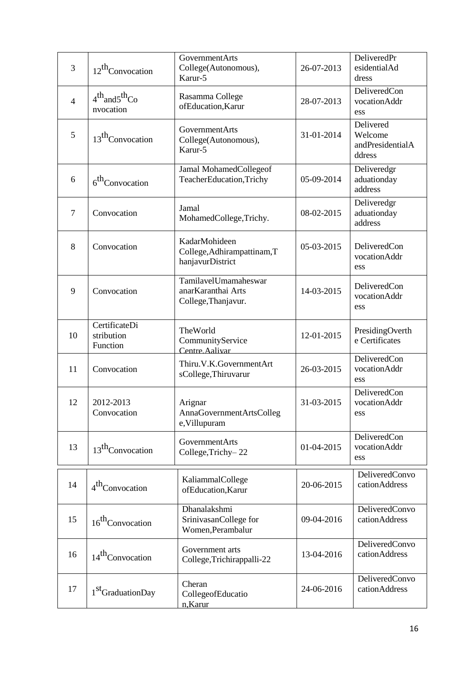| 3              | 12 <sup>th</sup> Convocation            | GovernmentArts<br>College(Autonomous),<br>Karur-5                 | 26-07-2013 | DeliveredPr<br>esidentialAd<br>dress               |
|----------------|-----------------------------------------|-------------------------------------------------------------------|------------|----------------------------------------------------|
| $\overline{4}$ | $4th$ and $5th$ Co<br>nvocation         | Rasamma College<br>ofEducation, Karur                             | 28-07-2013 | DeliveredCon<br>vocationAddr<br>ess                |
| 5              | 13 <sup>th</sup> Convocation            | GovernmentArts<br>College(Autonomous),<br>Karur-5                 | 31-01-2014 | Delivered<br>Welcome<br>andPresidentialA<br>ddress |
| 6              | 6 <sup>th</sup> Convocation             | Jamal MohamedCollegeof<br>TeacherEducation, Trichy                | 05-09-2014 | Deliveredgr<br>aduationday<br>address              |
| $\overline{7}$ | Convocation                             | Jamal<br>MohamedCollege,Trichy.                                   | 08-02-2015 | Deliveredgr<br>aduationday<br>address              |
| 8              | Convocation                             | KadarMohideen<br>College, Adhirampattinam, T<br>hanjavurDistrict  | 05-03-2015 | <b>DeliveredCon</b><br>vocationAddr<br>ess         |
| 9              | Convocation                             | TamilavelUmamaheswar<br>anarKaranthai Arts<br>College, Thanjavur. | 14-03-2015 | DeliveredCon<br>vocationAddr<br>ess                |
| 10             | CertificateDi<br>stribution<br>Function | TheWorld<br>CommunityService<br>Centre. Aalivar                   | 12-01-2015 | PresidingOverth<br>e Certificates                  |
| 11             | Convocation                             | Thiru.V.K.GovernmentArt<br>sCollege, Thiruvarur                   | 26-03-2015 | DeliveredCon<br>vocationAddr<br>ess                |
| 12             | 2012-2013<br>Convocation                | Arignar<br>AnnaGovernmentArtsColleg<br>e, Villupuram              | 31-03-2015 | <b>DeliveredCon</b><br>vocationAddr<br>ess         |
| 13             | 13 <sup>th</sup> Convocation            | GovernmentArts<br>College, Trichy-22                              | 01-04-2015 | <b>DeliveredCon</b><br>vocationAddr<br>ess         |
| 14             | 4 <sup>th</sup> Convocation             | KaliammalCollege<br>ofEducation, Karur                            | 20-06-2015 | DeliveredConvo<br>cationAddress                    |
| 15             | 16 <sup>th</sup> Convocation            | Dhanalakshmi<br>SrinivasanCollege for<br>Women, Perambalur        | 09-04-2016 | DeliveredConvo<br>cationAddress                    |
| 16             | 14 <sup>th</sup> Convocation            | Government arts<br>College, Trichirappalli-22                     | 13-04-2016 | DeliveredConvo<br>cationAddress                    |
| 17             | 1 <sup>st</sup> GraduationDay           | Cheran<br>CollegeofEducatio<br>n, Karur                           | 24-06-2016 | DeliveredConvo<br>cationAddress                    |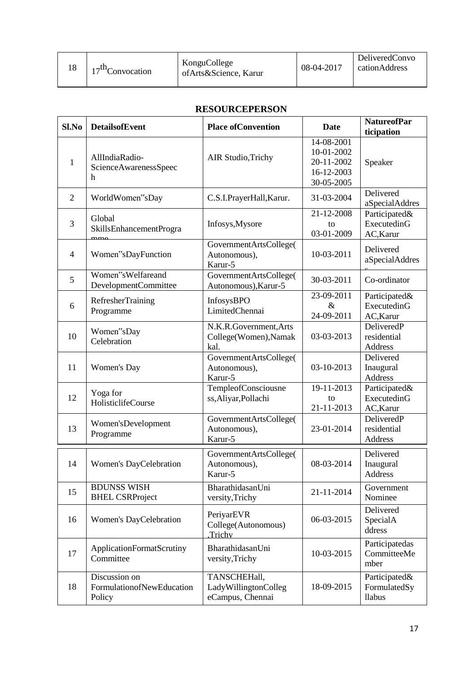| 18 | $17th$ Convocation | KonguCollege<br>of Arts & Science, Karur | 08-04-2017 | DeliveredConvo<br>cationAddress |
|----|--------------------|------------------------------------------|------------|---------------------------------|
|----|--------------------|------------------------------------------|------------|---------------------------------|

#### **RESOURCEPERSON**

| Sl.No          | <b>DetailsofEvent</b>                                | <b>Place of Convention</b>                               | <b>Date</b>                                                        | <b>NatureofPar</b><br>ticipation               |
|----------------|------------------------------------------------------|----------------------------------------------------------|--------------------------------------------------------------------|------------------------------------------------|
| 1              | AllIndiaRadio-<br>ScienceAwarenessSpeec<br>h         | <b>AIR Studio, Trichy</b>                                | 14-08-2001<br>10-01-2002<br>20-11-2002<br>16-12-2003<br>30-05-2005 | Speaker                                        |
| $\overline{2}$ | WorldWomen"sDay                                      | C.S.I.PrayerHall, Karur.                                 | 31-03-2004                                                         | Delivered<br>aSpecialAddres                    |
| 3              | Global<br>SkillsEnhancementProgra                    | Infosys, Mysore                                          | 21-12-2008<br>to<br>03-01-2009                                     | Participated&<br>ExecutedinG<br>AC, Karur      |
| $\overline{4}$ | Women"sDayFunction                                   | GovernmentArtsCollege(<br>Autonomous),<br>Karur-5        | 10-03-2011                                                         | Delivered<br>aSpecialAddres                    |
| 5              | Women"sWelfareand<br>DevelopmentCommittee            | GovernmentArtsCollege(<br>Autonomous), Karur-5           | 30-03-2011                                                         | Co-ordinator                                   |
| 6              | RefresherTraining<br>Programme                       | InfosysBPO<br>LimitedChennai                             | 23-09-2011<br>$\&$<br>24-09-2011                                   | Participated&<br>ExecutedinG<br>AC, Karur      |
| 10             | Women"sDay<br>Celebration                            | N.K.R.Government, Arts<br>College(Women), Namak<br>kal.  | 03-03-2013                                                         | DeliveredP<br>residential<br>Address           |
| 11             | <b>Women's Day</b>                                   | GovernmentArtsCollege(<br>Autonomous),<br>Karur-5        | 03-10-2013                                                         | Delivered<br>Inaugural<br><b>Address</b>       |
| 12             | Yoga for<br>HolisticlifeCourse                       | TempleofConsciousne<br>ss, Aliyar, Pollachi              | 19-11-2013<br>to<br>21-11-2013                                     | Participated&<br>ExecutedinG<br>AC, Karur      |
| 13             | Women'sDevelopment<br>Programme                      | GovernmentArtsCollege(<br>Autonomous),<br>Karur-5        | 23-01-2014                                                         | DeliveredP<br>residential<br><b>Address</b>    |
| 14             | Women's DayCelebration                               | GovernmentArtsCollege(<br>Autonomous),<br>Karur-5        | 08-03-2014                                                         | Delivered<br>Inaugural<br>Address              |
| 15             | <b>BDUNSS WISH</b><br><b>BHEL CSRProject</b>         | BharathidasanUni<br>versity, Trichy                      | 21-11-2014                                                         | Government<br>Nominee                          |
| 16             | Women's DayCelebration                               | PeriyarEVR<br>College(Autonomous)<br>Trichy              | 06-03-2015                                                         | Delivered<br>SpecialA<br>ddress                |
| 17             | ApplicationFormatScrutiny<br>Committee               | BharathidasanUni<br>versity, Trichy                      | 10-03-2015                                                         | Participatedas<br>CommitteeMe<br>mber          |
| 18             | Discussion on<br>FormulationofNewEducation<br>Policy | TANSCHEHall,<br>LadyWillingtonColleg<br>eCampus, Chennai | 18-09-2015                                                         | Participated&<br>FormulatedSy<br><b>llabus</b> |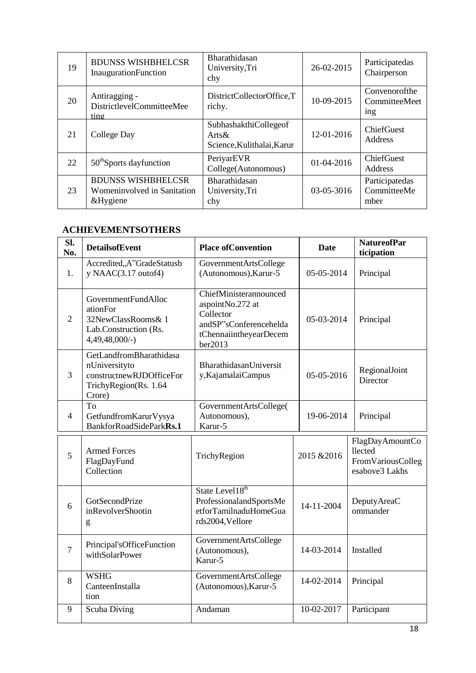| 19 | <b>BDUNSS WISHBHELCSR</b><br>InaugurationFunction                    | Bharathidasan<br>University, Tri<br>chy                         | 26-02-2015 | Participatedas<br>Chairperson         |
|----|----------------------------------------------------------------------|-----------------------------------------------------------------|------------|---------------------------------------|
| 20 | Antiragging -<br>DistrictlevelCommitteeMee<br>ting                   | DistrictCollectorOffice,T<br>richy.                             | 10-09-2015 | Convenorofthe<br>CommitteeMeet<br>ing |
| 21 | College Day                                                          | SubhashakthiCollegeof<br>$Arts\&$<br>Science, Kulithalai, Karur | 12-01-2016 | ChiefGuest<br>Address                 |
| 22 | 50 <sup>th</sup> Sports dayfunction                                  | PeriyarEVR<br>College(Autonomous)                               | 01-04-2016 | ChiefGuest<br><b>Address</b>          |
| 23 | <b>BDUNSS WISHBHELCSR</b><br>Womeninvolved in Sanitation<br>&Hygiene | Bharathidasan<br>University, Tri<br>chy                         | 03-05-3016 | Participatedas<br>CommitteeMe<br>mber |

#### **ACHIEVEMENTSOTHERS**

| Sl.<br>No.     | <b>DetailsofEvent</b>                                                                                   | <b>Place of Convention</b>                                                                                             | <b>Date</b> | <b>NatureofPar</b><br>ticipation                                  |
|----------------|---------------------------------------------------------------------------------------------------------|------------------------------------------------------------------------------------------------------------------------|-------------|-------------------------------------------------------------------|
| 1.             | Accredited,,A"GradeStatusb<br>y NAAC $(3.17$ outof4)                                                    | GovernmentArtsCollege<br>(Autonomous), Karur-5                                                                         | 05-05-2014  | Principal                                                         |
| $\overline{2}$ | GovernmentFundAlloc<br>ationFor<br>32NewClassRooms& 1<br>Lab.Construction (Rs.<br>$4,49,48,000/-$       | ChiefMinisterannounced<br>aspointNo.272 at<br>Collector<br>andSP"sConferencehelda<br>tChennaiintheyearDecem<br>ber2013 | 05-03-2014  | Principal                                                         |
| 3              | GetLandfromBharathidasa<br>nUniversityto<br>constructnewRJDOfficeFor<br>TrichyRegion(Rs. 1.64<br>Crore) | BharathidasanUniversit<br>y, Kajamalai Campus                                                                          | 05-05-2016  | RegionalJoint<br>Director                                         |
| $\overline{4}$ | To<br>GetfundfromKarurVysya<br>BankforRoadSideParkRs.1                                                  | GovernmentArtsCollege(<br>Autonomous),<br>Karur-5                                                                      | 19-06-2014  | Principal                                                         |
| 5              | <b>Armed Forces</b><br>FlagDayFund<br>Collection                                                        | TrichyRegion                                                                                                           | 2015 & 2016 | FlagDayAmountCo<br>llected<br>FromVariousColleg<br>esabove3 Lakhs |
| 6              | GotSecondPrize<br>inRevolverShootin<br>g                                                                | State Level18 <sup>th</sup><br>ProfessionalandSportsMe<br>etforTamilnaduHomeGua<br>rds2004,Vellore                     | 14-11-2004  | DeputyAreaC<br>ommander                                           |
| $\overline{7}$ | Principal'sOfficeFunction<br>withSolarPower                                                             | GovernmentArtsCollege<br>(Autonomous),<br>Karur-5                                                                      | 14-03-2014  | Installed                                                         |
| 8              | <b>WSHG</b><br>CanteenInstalla<br>tion                                                                  | GovernmentArtsCollege<br>(Autonomous), Karur-5                                                                         | 14-02-2014  | Principal                                                         |
| 9              | Scuba Diving                                                                                            | Andaman                                                                                                                | 10-02-2017  | Participant                                                       |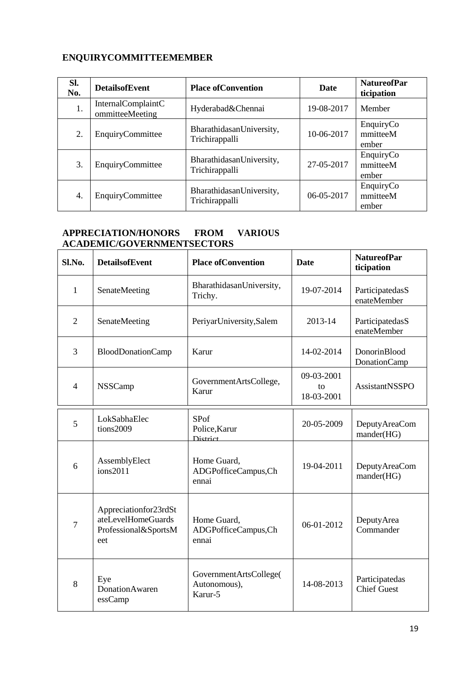### **ENQUIRYCOMMITTEEMEMBER**

| Sl.<br>No.       | <b>DetailsofEvent</b>                 | <b>Place of Convention</b>                 | <b>Date</b> | <b>NatureofPar</b><br>ticipation |
|------------------|---------------------------------------|--------------------------------------------|-------------|----------------------------------|
| 1.               | InternalComplaintC<br>ommitteeMeeting | Hyderabad&Chennai                          | 19-08-2017  | Member                           |
| 2.               | EnquiryCommittee                      | BharathidasanUniversity,<br>Trichirappalli | 10-06-2017  | EnquiryCo<br>mmitteeM<br>ember   |
| 3.               | EnquiryCommittee                      | BharathidasanUniversity,<br>Trichirappalli | 27-05-2017  | EnquiryCo<br>mmitteeM<br>ember   |
| $\overline{4}$ . | EnquiryCommittee                      | BharathidasanUniversity,<br>Trichirappalli | 06-05-2017  | EnquiryCo<br>mmitteeM<br>ember   |

#### **APPRECIATION/HONORS FROM VARIOUS ACADEMIC/GOVERNMENTSECTORS**

| Sl.No.         | <b>DetailsofEvent</b>                                                      | <b>Place of Convention</b>                        | <b>Date</b>                    | <b>NatureofPar</b><br>ticipation     |
|----------------|----------------------------------------------------------------------------|---------------------------------------------------|--------------------------------|--------------------------------------|
| 1              | SenateMeeting                                                              | BharathidasanUniversity,<br>Trichy.               | 19-07-2014                     | ParticipatedasS<br>enateMember       |
| $\overline{2}$ | SenateMeeting                                                              | PeriyarUniversity,Salem                           | 2013-14                        | ParticipatedasS<br>enateMember       |
| 3              | <b>BloodDonationCamp</b>                                                   | Karur                                             | 14-02-2014                     | DonorinBlood<br><b>DonationCamp</b>  |
| $\overline{4}$ | <b>NSSCamp</b>                                                             | GovernmentArtsCollege,<br>Karur                   | 09-03-2001<br>to<br>18-03-2001 | AssistantNSSPO                       |
| 5              | LokSabhaElec<br>tions2009                                                  | <b>SPof</b><br>Police, Karur<br><b>District</b>   | 20-05-2009                     | <b>DeputyAreaCom</b><br>mander(HG)   |
| 6              | AssemblyElect<br>ions2011                                                  | Home Guard,<br>ADGPofficeCampus,Ch<br>ennai       | 19-04-2011                     | <b>DeputyAreaCom</b><br>mander(HG)   |
| $\overline{7}$ | Appreciationfor23rdSt<br>ateLevelHomeGuards<br>Professional&SportsM<br>eet | Home Guard,<br>ADGPofficeCampus,Ch<br>ennai       | 06-01-2012                     | DeputyArea<br>Commander              |
| 8              | Eye<br>DonationAwaren<br>essCamp                                           | GovernmentArtsCollege(<br>Autonomous),<br>Karur-5 | 14-08-2013                     | Participatedas<br><b>Chief Guest</b> |